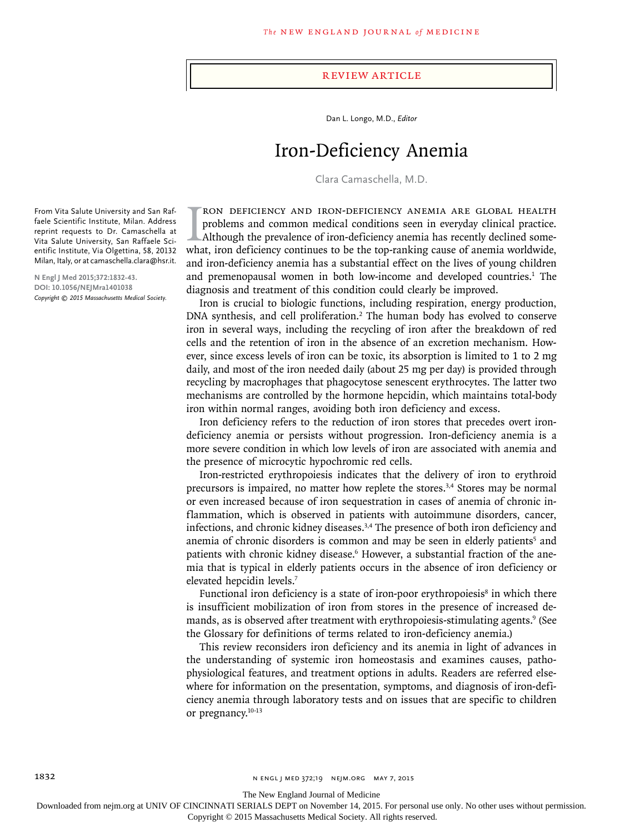# Review Article

Dan L. Longo, M.D., *Editor*

# Iron-Deficiency Anemia

Clara Camaschella, M.D.

TRON DEFICIENCY AND IRON-DEFICIENCY ANEMIA ARE GLOBAL HEALTH problems and common medical conditions seen in everyday clinical practice.<br>Although the prevalence of iron-deficiency anemia has recently declined somewhat, iron ron deficiency and iron-deficiency anemia are global health problems and common medical conditions seen in everyday clinical practice. Although the prevalence of iron-deficiency anemia has recently declined someand iron-deficiency anemia has a substantial effect on the lives of young children and premenopausal women in both low-income and developed countries.<sup>1</sup> The diagnosis and treatment of this condition could clearly be improved.

Iron is crucial to biologic functions, including respiration, energy production, DNA synthesis, and cell proliferation.<sup>2</sup> The human body has evolved to conserve iron in several ways, including the recycling of iron after the breakdown of red cells and the retention of iron in the absence of an excretion mechanism. However, since excess levels of iron can be toxic, its absorption is limited to 1 to 2 mg daily, and most of the iron needed daily (about 25 mg per day) is provided through recycling by macrophages that phagocytose senescent erythrocytes. The latter two mechanisms are controlled by the hormone hepcidin, which maintains total-body iron within normal ranges, avoiding both iron deficiency and excess.

Iron deficiency refers to the reduction of iron stores that precedes overt irondeficiency anemia or persists without progression. Iron-deficiency anemia is a more severe condition in which low levels of iron are associated with anemia and the presence of microcytic hypochromic red cells.

Iron-restricted erythropoiesis indicates that the delivery of iron to erythroid precursors is impaired, no matter how replete the stores.3,4 Stores may be normal or even increased because of iron sequestration in cases of anemia of chronic inflammation, which is observed in patients with autoimmune disorders, cancer, infections, and chronic kidney diseases.3,4 The presence of both iron deficiency and anemia of chronic disorders is common and may be seen in elderly patients<sup>5</sup> and patients with chronic kidney disease.<sup>6</sup> However, a substantial fraction of the anemia that is typical in elderly patients occurs in the absence of iron deficiency or elevated hepcidin levels.7

Functional iron deficiency is a state of iron-poor erythropoiesis<sup>8</sup> in which there is insufficient mobilization of iron from stores in the presence of increased demands, as is observed after treatment with erythropoiesis-stimulating agents.9 (See the Glossary for definitions of terms related to iron-deficiency anemia.)

This review reconsiders iron deficiency and its anemia in light of advances in the understanding of systemic iron homeostasis and examines causes, pathophysiological features, and treatment options in adults. Readers are referred elsewhere for information on the presentation, symptoms, and diagnosis of iron-deficiency anemia through laboratory tests and on issues that are specific to children or pregnancy.10-13

From Vita Salute University and San Raffaele Scientific Institute, Milan. Address reprint requests to Dr. Camaschella at Vita Salute University, San Raffaele Scientific Institute, Via Olgettina, 58, 20132 Milan, Italy, or at camaschella.clara@hsr.it.

**N Engl J Med 2015;372:1832-43. DOI: 10.1056/NEJMra1401038** *Copyright © 2015 Massachusetts Medical Society.*

The New England Journal of Medicine

Downloaded from nejm.org at UNIV OF CINCINNATI SERIALS DEPT on November 14, 2015. For personal use only. No other uses without permission.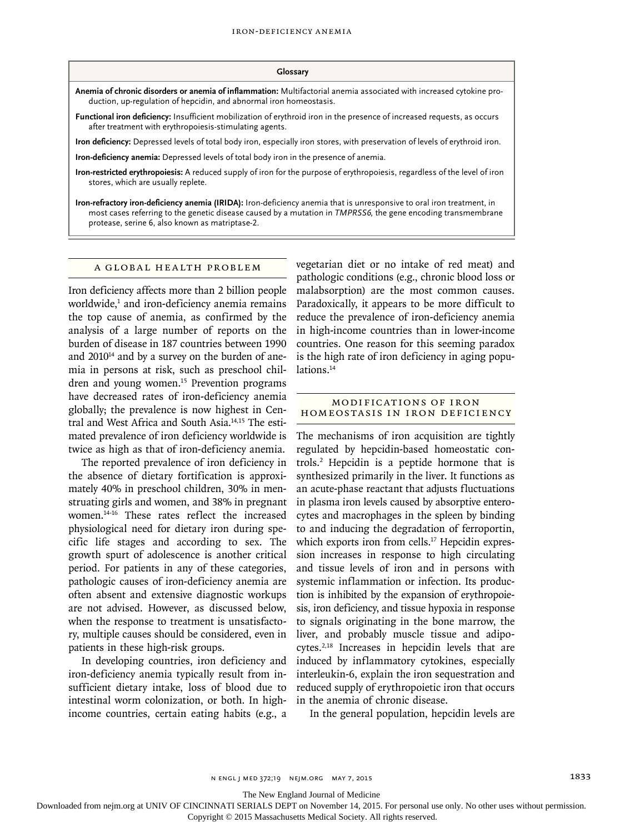| Glossary                                                                                                                                                                                   |  |
|--------------------------------------------------------------------------------------------------------------------------------------------------------------------------------------------|--|
| Anemia of chronic disorders or anemia of inflammation: Multifactorial anemia associated with increased cytokine pro-<br>duction, up-regulation of hepcidin, and abnormal iron homeostasis. |  |
| Functional iron deficiency: Insufficient mobilization of erythroid iron in the presence of increased requests, as occurs<br>after treatment with erythropoiesis-stimulating agents.        |  |
| Iron deficiency: Depressed levels of total body iron, especially iron stores, with preservation of levels of erythroid iron.                                                               |  |
| <b>Iron-deficiency anemia:</b> Depressed levels of total body iron in the presence of anemia.                                                                                              |  |
| Iron-restricted erythropoiesis: A reduced supply of iron for the purpose of erythropoiesis, regardless of the level of iron<br>stores, which are usually replete.                          |  |
| Iron-refractory iron-deficiency anemia (IRIDA): Iron-deficiency anemia that is unresponsive to oral iron treatment, in                                                                     |  |

most cases referring to the genetic disease caused by a mutation in *TMPRSS6,* the gene encoding transmembrane protease, serine 6, also known as matriptase-2.

# A Global Health Problem

Iron deficiency affects more than 2 billion people worldwide,<sup>1</sup> and iron-deficiency anemia remains the top cause of anemia, as confirmed by the analysis of a large number of reports on the burden of disease in 187 countries between 1990 and  $2010^{14}$  and by a survey on the burden of anemia in persons at risk, such as preschool children and young women.<sup>15</sup> Prevention programs have decreased rates of iron-deficiency anemia globally; the prevalence is now highest in Central and West Africa and South Asia.14,15 The estimated prevalence of iron deficiency worldwide is twice as high as that of iron-deficiency anemia.

The reported prevalence of iron deficiency in the absence of dietary fortification is approximately 40% in preschool children, 30% in menstruating girls and women, and 38% in pregnant women.14-16 These rates reflect the increased physiological need for dietary iron during specific life stages and according to sex. The growth spurt of adolescence is another critical period. For patients in any of these categories, pathologic causes of iron-deficiency anemia are often absent and extensive diagnostic workups are not advised. However, as discussed below, when the response to treatment is unsatisfactory, multiple causes should be considered, even in patients in these high-risk groups.

In developing countries, iron deficiency and iron-deficiency anemia typically result from insufficient dietary intake, loss of blood due to intestinal worm colonization, or both. In highincome countries, certain eating habits (e.g., a

vegetarian diet or no intake of red meat) and pathologic conditions (e.g., chronic blood loss or malabsorption) are the most common causes. Paradoxically, it appears to be more difficult to reduce the prevalence of iron-deficiency anemia in high-income countries than in lower-income countries. One reason for this seeming paradox is the high rate of iron deficiency in aging populations.<sup>14</sup>

# Modific ations of Iron Homeostasis in Iron Deficiency

The mechanisms of iron acquisition are tightly regulated by hepcidin-based homeostatic controls.2 Hepcidin is a peptide hormone that is synthesized primarily in the liver. It functions as an acute-phase reactant that adjusts fluctuations in plasma iron levels caused by absorptive enterocytes and macrophages in the spleen by binding to and inducing the degradation of ferroportin, which exports iron from cells.<sup>17</sup> Hepcidin expression increases in response to high circulating and tissue levels of iron and in persons with systemic inflammation or infection. Its production is inhibited by the expansion of erythropoiesis, iron deficiency, and tissue hypoxia in response to signals originating in the bone marrow, the liver, and probably muscle tissue and adipocytes.2,18 Increases in hepcidin levels that are induced by inflammatory cytokines, especially interleukin-6, explain the iron sequestration and reduced supply of erythropoietic iron that occurs in the anemia of chronic disease.

In the general population, hepcidin levels are

The New England Journal of Medicine

Downloaded from nejm.org at UNIV OF CINCINNATI SERIALS DEPT on November 14, 2015. For personal use only. No other uses without permission.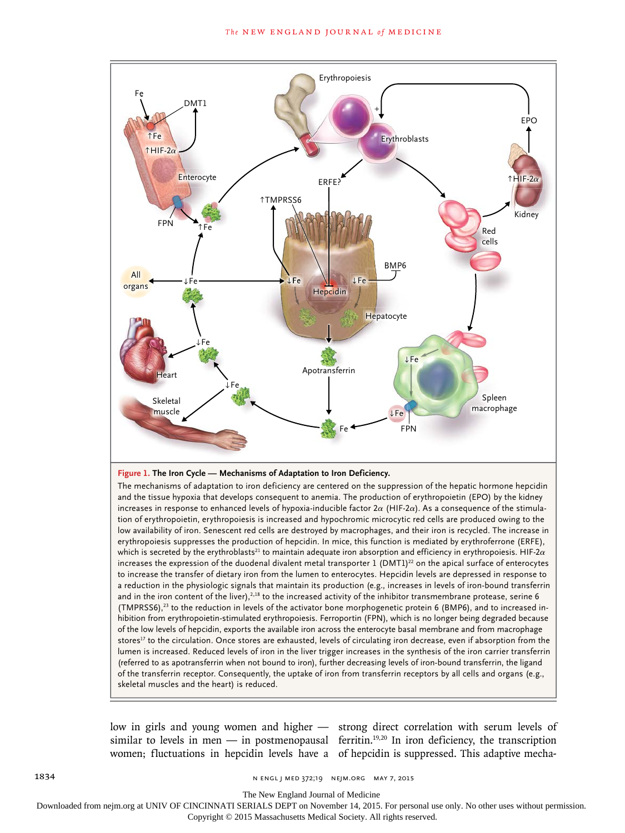

### **Figure 1. The Iron Cycle — Mechanisms of Adaptation to Iron Deficiency.**

The mechanisms of adaptation to iron deficiency are centered on the suppression of the hepatic hormone hepcidin and the tissue hypoxia that develops consequent to anemia. The production of erythropoietin (EPO) by the kidney increases in response to enhanced levels of hypoxia-inducible factor  $2\alpha$  (HIF-2 $\alpha$ ). As a consequence of the stimulation of erythropoietin, erythropoiesis is increased and hypochromic microcytic red cells are produced owing to the low availability of iron. Senescent red cells are destroyed by macrophages, and their iron is recycled. The increase in erythropoiesis suppresses the production of hepcidin. In mice, this function is mediated by erythroferrone (ERFE), which is secreted by the erythroblasts<sup>21</sup> to maintain adequate iron absorption and efficiency in erythropoiesis. HIF-2 $\alpha$ increases the expression of the duodenal divalent metal transporter  $1$  (DMT1) $^{22}$  on the apical surface of enterocytes to increase the transfer of dietary iron from the lumen to enterocytes. Hepcidin levels are depressed in response to a reduction in the physiologic signals that maintain its production (e.g., increases in levels of iron-bound transferrin and in the iron content of the liver), $2^{18}$  to the increased activity of the inhibitor transmembrane protease, serine 6 (TMPRSS6),<sup>23</sup> to the reduction in levels of the activator bone morphogenetic protein 6 (BMP6), and to increased inhibition from erythropoietin-stimulated erythropoiesis. Ferroportin (FPN), which is no longer being degraded because of the low levels of hepcidin, exports the available iron across the enterocyte basal membrane and from macrophage stores<sup>17</sup> to the circulation. Once stores are exhausted, levels of circulating iron decrease, even if absorption from the lumen is increased. Reduced levels of iron in the liver trigger increases in the synthesis of the iron carrier transferrin (referred to as apotransferrin when not bound to iron), further decreasing levels of iron-bound transferrin, the ligand of the transferrin receptor. Consequently, the uptake of iron from transferrin receptors by all cells and organs (e.g., skeletal muscles and the heart) is reduced.

low in girls and young women and higher — strong direct correlation with serum levels of similar to levels in men — in postmenopausal ferritin.<sup>19,20</sup> In iron deficiency, the transcription

women; fluctuations in hepcidin levels have a of hepcidin is suppressed. This adaptive mecha-

1834 **n engl j med 372;19 n engl j med 372;19 nejm.org May 7, 2015** 

The New England Journal of Medicine

Downloaded from nejm.org at UNIV OF CINCINNATI SERIALS DEPT on November 14, 2015. For personal use only. No other uses without permission.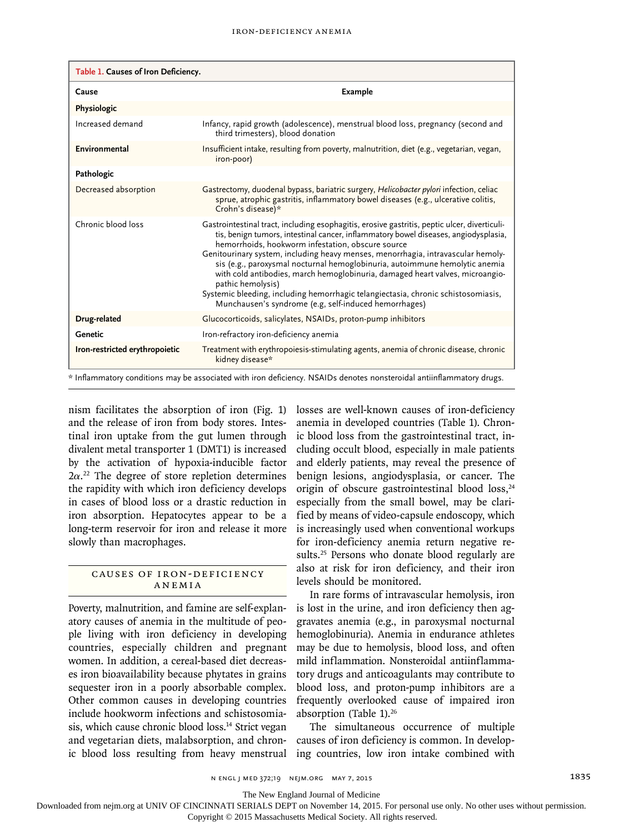| Table 1. Causes of Iron Deficiency.                                                                                   |                                                                                                                                                                                                                                                                                                                                                                                                                                                                                                                                                                                                                                                                 |  |  |  |
|-----------------------------------------------------------------------------------------------------------------------|-----------------------------------------------------------------------------------------------------------------------------------------------------------------------------------------------------------------------------------------------------------------------------------------------------------------------------------------------------------------------------------------------------------------------------------------------------------------------------------------------------------------------------------------------------------------------------------------------------------------------------------------------------------------|--|--|--|
| Cause                                                                                                                 | <b>Example</b>                                                                                                                                                                                                                                                                                                                                                                                                                                                                                                                                                                                                                                                  |  |  |  |
| Physiologic                                                                                                           |                                                                                                                                                                                                                                                                                                                                                                                                                                                                                                                                                                                                                                                                 |  |  |  |
| Increased demand                                                                                                      | Infancy, rapid growth (adolescence), menstrual blood loss, pregnancy (second and<br>third trimesters), blood donation                                                                                                                                                                                                                                                                                                                                                                                                                                                                                                                                           |  |  |  |
| Environmental                                                                                                         | Insufficient intake, resulting from poverty, malnutrition, diet (e.g., vegetarian, vegan,<br>iron-poor)                                                                                                                                                                                                                                                                                                                                                                                                                                                                                                                                                         |  |  |  |
| Pathologic                                                                                                            |                                                                                                                                                                                                                                                                                                                                                                                                                                                                                                                                                                                                                                                                 |  |  |  |
| Decreased absorption                                                                                                  | Gastrectomy, duodenal bypass, bariatric surgery, Helicobacter pylori infection, celiac<br>sprue, atrophic gastritis, inflammatory bowel diseases (e.g., ulcerative colitis,<br>Crohn's disease)*                                                                                                                                                                                                                                                                                                                                                                                                                                                                |  |  |  |
| Chronic blood loss                                                                                                    | Gastrointestinal tract, including esophagitis, erosive gastritis, peptic ulcer, diverticuli-<br>tis, benign tumors, intestinal cancer, inflammatory bowel diseases, angiodysplasia,<br>hemorrhoids, hookworm infestation, obscure source<br>Genitourinary system, including heavy menses, menorrhagia, intravascular hemoly-<br>sis (e.g., paroxysmal nocturnal hemoglobinuria, autoimmune hemolytic anemia<br>with cold antibodies, march hemoglobinuria, damaged heart valves, microangio-<br>pathic hemolysis)<br>Systemic bleeding, including hemorrhagic telangiectasia, chronic schistosomiasis,<br>Munchausen's syndrome (e.g, self-induced hemorrhages) |  |  |  |
| Drug-related                                                                                                          | Glucocorticoids, salicylates, NSAIDs, proton-pump inhibitors                                                                                                                                                                                                                                                                                                                                                                                                                                                                                                                                                                                                    |  |  |  |
| Genetic                                                                                                               | Iron-refractory iron-deficiency anemia                                                                                                                                                                                                                                                                                                                                                                                                                                                                                                                                                                                                                          |  |  |  |
| Iron-restricted erythropoietic                                                                                        | Treatment with erythropoiesis-stimulating agents, anemia of chronic disease, chronic<br>kidney disease*                                                                                                                                                                                                                                                                                                                                                                                                                                                                                                                                                         |  |  |  |
| * Inflammatory conditions may be associated with iron deficiency. NSAIDs denotes nonsteroidal antiinflammatory drugs. |                                                                                                                                                                                                                                                                                                                                                                                                                                                                                                                                                                                                                                                                 |  |  |  |

nism facilitates the absorption of iron (Fig. 1) and the release of iron from body stores. Intestinal iron uptake from the gut lumen through divalent metal transporter 1 (DMT1) is increased by the activation of hypoxia-inducible factor  $2\alpha$ <sup>22</sup> The degree of store repletion determines the rapidity with which iron deficiency develops in cases of blood loss or a drastic reduction in iron absorption. Hepatocytes appear to be a long-term reservoir for iron and release it more slowly than macrophages.

# C auses of Iron-Deficienc y ANEMIA

Poverty, malnutrition, and famine are self-explanatory causes of anemia in the multitude of people living with iron deficiency in developing countries, especially children and pregnant women. In addition, a cereal-based diet decreases iron bioavailability because phytates in grains sequester iron in a poorly absorbable complex. Other common causes in developing countries include hookworm infections and schistosomiasis, which cause chronic blood loss.<sup>14</sup> Strict vegan and vegetarian diets, malabsorption, and chronic blood loss resulting from heavy menstrual losses are well-known causes of iron-deficiency anemia in developed countries (Table 1). Chronic blood loss from the gastrointestinal tract, including occult blood, especially in male patients and elderly patients, may reveal the presence of benign lesions, angiodysplasia, or cancer. The origin of obscure gastrointestinal blood loss,<sup>24</sup> especially from the small bowel, may be clarified by means of video-capsule endoscopy, which is increasingly used when conventional workups for iron-deficiency anemia return negative results.<sup>25</sup> Persons who donate blood regularly are also at risk for iron deficiency, and their iron levels should be monitored.

In rare forms of intravascular hemolysis, iron is lost in the urine, and iron deficiency then aggravates anemia (e.g., in paroxysmal nocturnal hemoglobinuria). Anemia in endurance athletes may be due to hemolysis, blood loss, and often mild inflammation. Nonsteroidal antiinflammatory drugs and anticoagulants may contribute to blood loss, and proton-pump inhibitors are a frequently overlooked cause of impaired iron absorption (Table 1).<sup>26</sup>

The simultaneous occurrence of multiple causes of iron deficiency is common. In developing countries, low iron intake combined with

The New England Journal of Medicine

Downloaded from nejm.org at UNIV OF CINCINNATI SERIALS DEPT on November 14, 2015. For personal use only. No other uses without permission.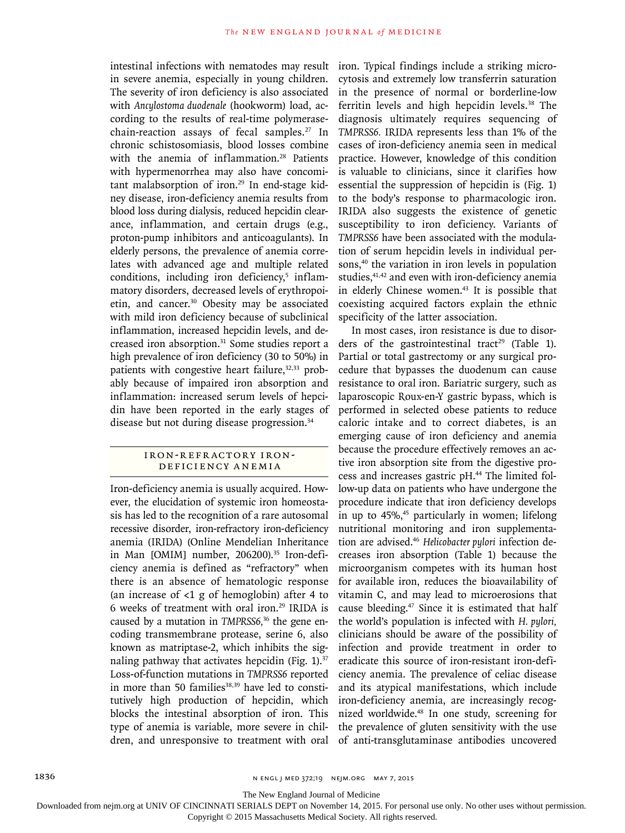intestinal infections with nematodes may result in severe anemia, especially in young children. The severity of iron deficiency is also associated with *Ancylostoma duodenale* (hookworm) load, according to the results of real-time polymerasechain-reaction assays of fecal samples.<sup>27</sup> In chronic schistosomiasis, blood losses combine with the anemia of inflammation.<sup>28</sup> Patients with hypermenorrhea may also have concomitant malabsorption of iron.<sup>29</sup> In end-stage kidney disease, iron-deficiency anemia results from blood loss during dialysis, reduced hepcidin clearance, inflammation, and certain drugs (e.g., proton-pump inhibitors and anticoagulants). In elderly persons, the prevalence of anemia correlates with advanced age and multiple related conditions, including iron deficiency,<sup>5</sup> inflammatory disorders, decreased levels of erythropoietin, and cancer.30 Obesity may be associated with mild iron deficiency because of subclinical inflammation, increased hepcidin levels, and decreased iron absorption.<sup>31</sup> Some studies report a high prevalence of iron deficiency (30 to 50%) in patients with congestive heart failure, 32,33 probably because of impaired iron absorption and inflammation: increased serum levels of hepcidin have been reported in the early stages of disease but not during disease progression.<sup>34</sup>

# Iron-Refractory Iron-Deficiency Anemia

Iron-deficiency anemia is usually acquired. However, the elucidation of systemic iron homeostasis has led to the recognition of a rare autosomal recessive disorder, iron-refractory iron-deficiency anemia (IRIDA) (Online Mendelian Inheritance in Man [OMIM] number, 206200).<sup>35</sup> Iron-deficiency anemia is defined as "refractory" when there is an absence of hematologic response (an increase of  $\langle 1 \rangle$  g of hemoglobin) after 4 to 6 weeks of treatment with oral iron.29 IRIDA is caused by a mutation in *TMPRSS6,*36 the gene encoding transmembrane protease, serine 6, also known as matriptase-2, which inhibits the signaling pathway that activates hepcidin (Fig.  $1$ ).<sup>37</sup> Loss-of-function mutations in *TMPRSS6* reported in more than 50 families<sup>38,39</sup> have led to constitutively high production of hepcidin, which blocks the intestinal absorption of iron. This type of anemia is variable, more severe in children, and unresponsive to treatment with oral iron. Typical findings include a striking microcytosis and extremely low transferrin saturation in the presence of normal or borderline-low ferritin levels and high hepcidin levels.38 The diagnosis ultimately requires sequencing of *TMPRSS6.* IRIDA represents less than 1% of the cases of iron-deficiency anemia seen in medical practice. However, knowledge of this condition is valuable to clinicians, since it clarifies how essential the suppression of hepcidin is (Fig. 1) to the body's response to pharmacologic iron. IRIDA also suggests the existence of genetic susceptibility to iron deficiency. Variants of *TMPRSS6* have been associated with the modulation of serum hepcidin levels in individual persons,<sup>40</sup> the variation in iron levels in population studies,<sup>41,42</sup> and even with iron-deficiency anemia in elderly Chinese women.43 It is possible that coexisting acquired factors explain the ethnic specificity of the latter association.

In most cases, iron resistance is due to disorders of the gastrointestinal tract<sup>29</sup> (Table 1). Partial or total gastrectomy or any surgical procedure that bypasses the duodenum can cause resistance to oral iron. Bariatric surgery, such as laparoscopic Roux-en-Y gastric bypass, which is performed in selected obese patients to reduce caloric intake and to correct diabetes, is an emerging cause of iron deficiency and anemia because the procedure effectively removes an active iron absorption site from the digestive process and increases gastric pH.44 The limited follow-up data on patients who have undergone the procedure indicate that iron deficiency develops in up to  $45\%$ ,<sup>45</sup> particularly in women; lifelong nutritional monitoring and iron supplementation are advised.46 *Helicobacter pylori* infection decreases iron absorption (Table 1) because the microorganism competes with its human host for available iron, reduces the bioavailability of vitamin C, and may lead to microerosions that cause bleeding.47 Since it is estimated that half the world's population is infected with *H. pylori,* clinicians should be aware of the possibility of infection and provide treatment in order to eradicate this source of iron-resistant iron-deficiency anemia. The prevalence of celiac disease and its atypical manifestations, which include iron-deficiency anemia, are increasingly recognized worldwide.48 In one study, screening for the prevalence of gluten sensitivity with the use of anti-transglutaminase antibodies uncovered

The New England Journal of Medicine

Downloaded from nejm.org at UNIV OF CINCINNATI SERIALS DEPT on November 14, 2015. For personal use only. No other uses without permission.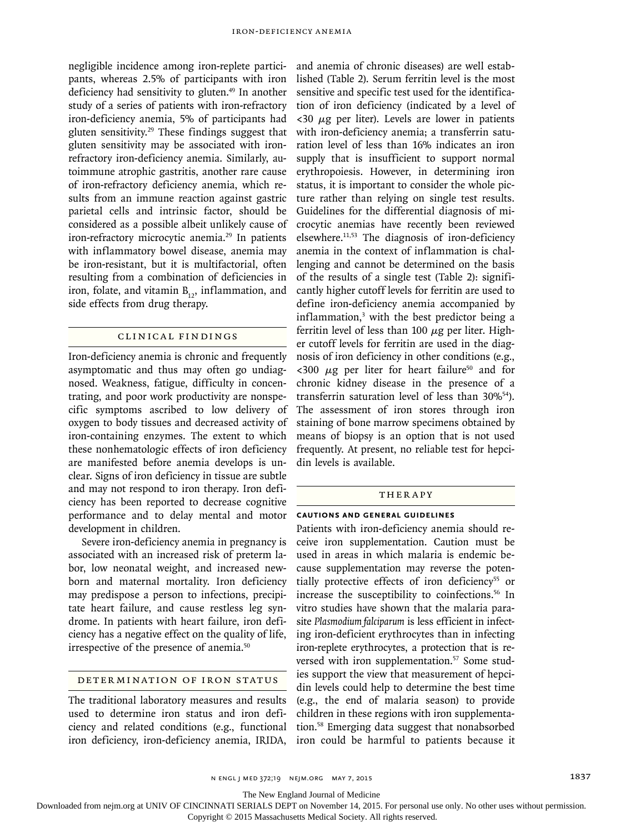negligible incidence among iron-replete participants, whereas 2.5% of participants with iron deficiency had sensitivity to gluten.<sup>49</sup> In another study of a series of patients with iron-refractory iron-deficiency anemia, 5% of participants had gluten sensitivity.29 These findings suggest that gluten sensitivity may be associated with ironrefractory iron-deficiency anemia. Similarly, autoimmune atrophic gastritis, another rare cause of iron-refractory deficiency anemia, which results from an immune reaction against gastric parietal cells and intrinsic factor, should be considered as a possible albeit unlikely cause of iron-refractory microcytic anemia.<sup>29</sup> In patients with inflammatory bowel disease, anemia may be iron-resistant, but it is multifactorial, often resulting from a combination of deficiencies in iron, folate, and vitamin  $B_{12}$ , inflammation, and side effects from drug therapy.

# Clinical Findings

Iron-deficiency anemia is chronic and frequently asymptomatic and thus may often go undiagnosed. Weakness, fatigue, difficulty in concentrating, and poor work productivity are nonspecific symptoms ascribed to low delivery of oxygen to body tissues and decreased activity of iron-containing enzymes. The extent to which these nonhematologic effects of iron deficiency are manifested before anemia develops is unclear. Signs of iron deficiency in tissue are subtle and may not respond to iron therapy. Iron deficiency has been reported to decrease cognitive performance and to delay mental and motor development in children.

Severe iron-deficiency anemia in pregnancy is associated with an increased risk of preterm labor, low neonatal weight, and increased newborn and maternal mortality. Iron deficiency may predispose a person to infections, precipitate heart failure, and cause restless leg syndrome. In patients with heart failure, iron deficiency has a negative effect on the quality of life, irrespective of the presence of anemia.<sup>50</sup>

# Determination of Iron Status

The traditional laboratory measures and results used to determine iron status and iron deficiency and related conditions (e.g., functional iron deficiency, iron-deficiency anemia, IRIDA,

and anemia of chronic diseases) are well established (Table 2). Serum ferritin level is the most sensitive and specific test used for the identification of iron deficiency (indicated by a level of  $\lt$ 30  $\mu$ g per liter). Levels are lower in patients with iron-deficiency anemia; a transferrin saturation level of less than 16% indicates an iron supply that is insufficient to support normal erythropoiesis. However, in determining iron status, it is important to consider the whole picture rather than relying on single test results. Guidelines for the differential diagnosis of microcytic anemias have recently been reviewed elsewhere.11,53 The diagnosis of iron-deficiency anemia in the context of inflammation is challenging and cannot be determined on the basis of the results of a single test (Table 2): significantly higher cutoff levels for ferritin are used to define iron-deficiency anemia accompanied by inflammation,3 with the best predictor being a ferritin level of less than 100  $\mu$ g per liter. Higher cutoff levels for ferritin are used in the diagnosis of iron deficiency in other conditions (e.g.,  $<$ 300  $\mu$ g per liter for heart failure<sup>50</sup> and for chronic kidney disease in the presence of a transferrin saturation level of less than  $30\%$ <sup>54</sup>). The assessment of iron stores through iron staining of bone marrow specimens obtained by means of biopsy is an option that is not used frequently. At present, no reliable test for hepcidin levels is available.

## **THERAPY**

# **Cautions and General Guidelines**

Patients with iron-deficiency anemia should receive iron supplementation. Caution must be used in areas in which malaria is endemic because supplementation may reverse the potentially protective effects of iron deficiency<sup>55</sup> or increase the susceptibility to coinfections.<sup>56</sup> In vitro studies have shown that the malaria parasite *Plasmodium falciparum* is less efficient in infecting iron-deficient erythrocytes than in infecting iron-replete erythrocytes, a protection that is reversed with iron supplementation.<sup>57</sup> Some studies support the view that measurement of hepcidin levels could help to determine the best time (e.g., the end of malaria season) to provide children in these regions with iron supplementation.58 Emerging data suggest that nonabsorbed iron could be harmful to patients because it

The New England Journal of Medicine

Downloaded from nejm.org at UNIV OF CINCINNATI SERIALS DEPT on November 14, 2015. For personal use only. No other uses without permission.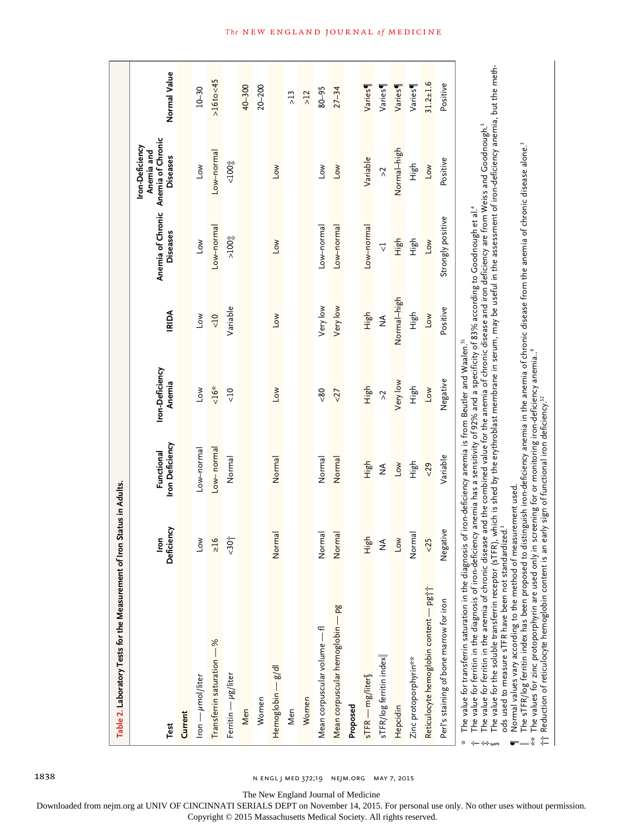| Table 2. Laboratory Tests for the Measurement of Iron Status in Adults.                                                                                                                                                                                                                                                                                                                                                                                                                                                                                                                                        |                    |                               |                           |                          |                                                                                                                                    |                                                                       |                |
|----------------------------------------------------------------------------------------------------------------------------------------------------------------------------------------------------------------------------------------------------------------------------------------------------------------------------------------------------------------------------------------------------------------------------------------------------------------------------------------------------------------------------------------------------------------------------------------------------------------|--------------------|-------------------------------|---------------------------|--------------------------|------------------------------------------------------------------------------------------------------------------------------------|-----------------------------------------------------------------------|----------------|
| Test                                                                                                                                                                                                                                                                                                                                                                                                                                                                                                                                                                                                           | Deficiency<br>Iron | Iron Deficiency<br>Functional | Iron-Deficiency<br>Anemia | <b>IRIDA</b>             | Anemia of Chronic<br><b>Diseases</b>                                                                                               | Anemia of Chronic<br>Iron-Deficiency<br>Anemia and<br><b>Diseases</b> | Normal Value   |
| Current                                                                                                                                                                                                                                                                                                                                                                                                                                                                                                                                                                                                        |                    |                               |                           |                          |                                                                                                                                    |                                                                       |                |
| $Inom-\mu mol/liter$                                                                                                                                                                                                                                                                                                                                                                                                                                                                                                                                                                                           | Low                | Low-normal                    | $\sum_{i=1}^{\infty}$     | $\overline{\phantom{0}}$ | Low                                                                                                                                | $\sum_{i=1}^{\infty}$                                                 | $10 - 30$      |
| Transferrin saturation - %                                                                                                                                                                                                                                                                                                                                                                                                                                                                                                                                                                                     | $\geq 16$          | Low-normal                    | $16*$                     | $rac{1}{\sqrt{2}}$       | Low-normal                                                                                                                         | Low-normal                                                            | $>16$ to $<45$ |
| Ferritin $-\mu g/l$ iter                                                                                                                                                                                                                                                                                                                                                                                                                                                                                                                                                                                       | 30 <sub>1</sub>    | Normal                        | $rac{10}{5}$              | Variable                 | >1001                                                                                                                              | $5001 -$                                                              |                |
| Men                                                                                                                                                                                                                                                                                                                                                                                                                                                                                                                                                                                                            |                    |                               |                           |                          |                                                                                                                                    |                                                                       | $40 - 300$     |
| Women                                                                                                                                                                                                                                                                                                                                                                                                                                                                                                                                                                                                          |                    |                               |                           |                          |                                                                                                                                    |                                                                       | $20 - 200$     |
| Hemoglobin - g/dl                                                                                                                                                                                                                                                                                                                                                                                                                                                                                                                                                                                              | Normal             | Normal                        | Low                       | Low                      | Low                                                                                                                                | Low                                                                   |                |
| Men                                                                                                                                                                                                                                                                                                                                                                                                                                                                                                                                                                                                            |                    |                               |                           |                          |                                                                                                                                    |                                                                       | $\geq$         |
| Women                                                                                                                                                                                                                                                                                                                                                                                                                                                                                                                                                                                                          |                    |                               |                           |                          |                                                                                                                                    |                                                                       | >12            |
| Mean corpuscular volume - fl                                                                                                                                                                                                                                                                                                                                                                                                                                                                                                                                                                                   | Normal             | Normal                        | $\frac{80}{5}$            | Very low                 | Low-normal                                                                                                                         | $\sum_{i=1}^{\infty}$                                                 | 80-95          |
| Mean corpuscular hemoglobin — pg                                                                                                                                                                                                                                                                                                                                                                                                                                                                                                                                                                               | <b>lormal</b>      | Normal                        | 527                       | Very low                 | Low-normal                                                                                                                         | Low                                                                   | $27 - 34$      |
| Proposed                                                                                                                                                                                                                                                                                                                                                                                                                                                                                                                                                                                                       |                    |                               |                           |                          |                                                                                                                                    |                                                                       |                |
| sTFR - mg/liter                                                                                                                                                                                                                                                                                                                                                                                                                                                                                                                                                                                                | 나<br>이             | High                          | High                      | High                     | Low-normal                                                                                                                         | Variable                                                              | Varies         |
| sTFR/log ferritin index                                                                                                                                                                                                                                                                                                                                                                                                                                                                                                                                                                                        | $\frac{4}{2}$      | $\frac{4}{2}$                 | $\tilde{z}$               | ⋚                        | $\vec{\nabla}$                                                                                                                     | $\tilde{\mathcal{L}}$                                                 | Varies         |
| Hepcidin                                                                                                                                                                                                                                                                                                                                                                                                                                                                                                                                                                                                       | Low                | Low                           | Very low                  | Normal-high              | High                                                                                                                               | Normal-high                                                           | Varies         |
| Zinc protoporphyrin**                                                                                                                                                                                                                                                                                                                                                                                                                                                                                                                                                                                          | lormal<br>∠        | 소.<br>도                       | 나 <sub>울</sub>            | 사 <sub>효</sub>           | Нigh                                                                                                                               | High                                                                  | Varies         |
| Reticulocyte hemoglobin content - pg; ;                                                                                                                                                                                                                                                                                                                                                                                                                                                                                                                                                                        | $<25$              | 55                            | Low                       | Low                      | Low                                                                                                                                | Low                                                                   | $31.2 \pm 1.6$ |
| Perl's staining of bone marrow for iron                                                                                                                                                                                                                                                                                                                                                                                                                                                                                                                                                                        | Negative           | Variable                      | Negative                  | Positive                 | Strongly positive                                                                                                                  | Positive                                                              | Positive       |
| The value for ferritin in the anemia of chronic disease and the combined value for the anemia of chronic disease and iron deficiency are from Weiss and Goodnough. <sup>3</sup><br>The value for ferritin in the diagnosis of iron-deficiency anemia has a sensitivity of 92% and a specificity of 83% according to Goodnough et al. <sup>4</sup><br>The value for transferrin saturation in the diagnosis of iron-deficiency anemia is from Beutler and Waalen. <sup>51</sup><br>ods used to measure sTFR have been not standardized. <sup>3</sup><br>The value for the soluble transferrin receptor (sT<br>∗ |                    |                               |                           |                          | FR), which is shed by the erythroblast membrane in serum, may be useful in the assessment of iron-deficiency anemia, but the meth- |                                                                       |                |

1838 **n ENGL J MED 372;19 NEJM.ORG MAY 7, 2015** 

Normal values vary according to the method of measurement used.

The sTFR/log ferritin index has been proposed to distinguish iron-deficiency anemia in the anemia of chronic disease from the anemia of chronic disease alone.3

Normal values vary according to the method of measurement used.<br>The sTFR/log ferritin index has been proposed to distinguish iron-deficiency anemia in the anemia of chronic disease from the anemia of chronic disease alone.

 $**$  The values for zinc protoporphyrin are used only in screening for or monitoring iron-deficiency anemia.. $9$ 

 $\dagger$ † Reduction of reticulocyte hemoglobin content is an early sign of functional iron deficiency. $^{12}$ 

¶

|<br>= 长

 $\left\langle \!\! \right\rangle$ 

The New England Journal of Medicine

Downloaded from nejm.org at UNIV OF CINCINNATI SERIALS DEPT on November 14, 2015. For personal use only. No other uses without permission.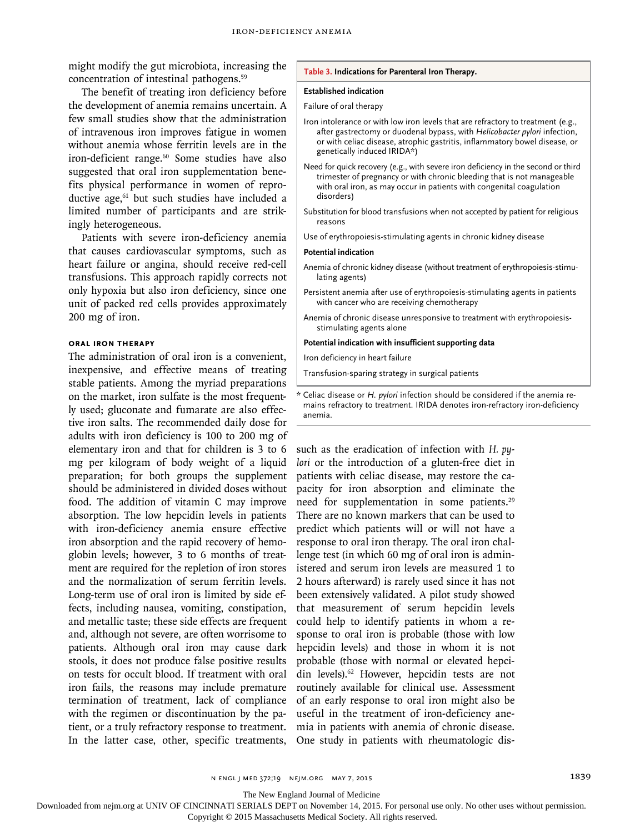might modify the gut microbiota, increasing the concentration of intestinal pathogens.59

The benefit of treating iron deficiency before the development of anemia remains uncertain. A few small studies show that the administration of intravenous iron improves fatigue in women without anemia whose ferritin levels are in the iron-deficient range.<sup>60</sup> Some studies have also suggested that oral iron supplementation benefits physical performance in women of reproductive age,<sup>61</sup> but such studies have included a limited number of participants and are strikingly heterogeneous.

Patients with severe iron-deficiency anemia that causes cardiovascular symptoms, such as heart failure or angina, should receive red-cell transfusions. This approach rapidly corrects not only hypoxia but also iron deficiency, since one unit of packed red cells provides approximately 200 mg of iron.

# **Oral Iron Therapy**

The administration of oral iron is a convenient, inexpensive, and effective means of treating stable patients. Among the myriad preparations on the market, iron sulfate is the most frequently used; gluconate and fumarate are also effective iron salts. The recommended daily dose for adults with iron deficiency is 100 to 200 mg of elementary iron and that for children is 3 to 6 mg per kilogram of body weight of a liquid preparation; for both groups the supplement should be administered in divided doses without food. The addition of vitamin C may improve absorption. The low hepcidin levels in patients with iron-deficiency anemia ensure effective iron absorption and the rapid recovery of hemoglobin levels; however, 3 to 6 months of treatment are required for the repletion of iron stores and the normalization of serum ferritin levels. Long-term use of oral iron is limited by side effects, including nausea, vomiting, constipation, and metallic taste; these side effects are frequent and, although not severe, are often worrisome to patients. Although oral iron may cause dark stools, it does not produce false positive results on tests for occult blood. If treatment with oral iron fails, the reasons may include premature termination of treatment, lack of compliance with the regimen or discontinuation by the patient, or a truly refractory response to treatment. In the latter case, other, specific treatments,

#### **Table 3. Indications for Parenteral Iron Therapy.**

# **Established indication**

# Failure of oral therapy

- Iron intolerance or with low iron levels that are refractory to treatment (e.g., after gastrectomy or duodenal bypass, with *Helicobacter pylori* infection, or with celiac disease, atrophic gastritis, inflammatory bowel disease, or genetically induced IRIDA\*)
- Need for quick recovery (e.g., with severe iron deficiency in the second or third trimester of pregnancy or with chronic bleeding that is not manageable with oral iron, as may occur in patients with congenital coagulation disorders)
- Substitution for blood transfusions when not accepted by patient for religious reasons
- Use of erythropoiesis-stimulating agents in chronic kidney disease

# **Potential indication**

- Anemia of chronic kidney disease (without treatment of erythropoiesis-stimulating agents)
- Persistent anemia after use of erythropoiesis-stimulating agents in patients with cancer who are receiving chemotherapy
- Anemia of chronic disease unresponsive to treatment with erythropoiesisstimulating agents alone

# **Potential indication with insufficient supporting data**

Iron deficiency in heart failure

Transfusion-sparing strategy in surgical patients

\* Celiac disease or *H. pylori* infection should be considered if the anemia remains refractory to treatment. IRIDA denotes iron-refractory iron-deficiency anemia.

such as the eradication of infection with *H. pylori* or the introduction of a gluten-free diet in patients with celiac disease, may restore the capacity for iron absorption and eliminate the need for supplementation in some patients.<sup>29</sup> There are no known markers that can be used to predict which patients will or will not have a response to oral iron therapy. The oral iron challenge test (in which 60 mg of oral iron is administered and serum iron levels are measured 1 to 2 hours afterward) is rarely used since it has not been extensively validated. A pilot study showed that measurement of serum hepcidin levels could help to identify patients in whom a response to oral iron is probable (those with low hepcidin levels) and those in whom it is not probable (those with normal or elevated hepcidin levels).62 However, hepcidin tests are not routinely available for clinical use. Assessment of an early response to oral iron might also be useful in the treatment of iron-deficiency anemia in patients with anemia of chronic disease. One study in patients with rheumatologic dis-

The New England Journal of Medicine

Downloaded from nejm.org at UNIV OF CINCINNATI SERIALS DEPT on November 14, 2015. For personal use only. No other uses without permission.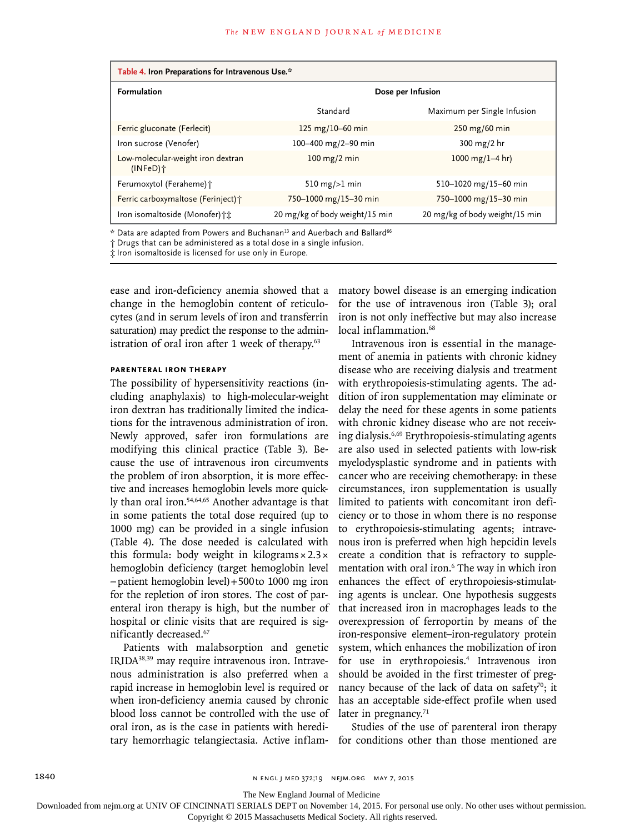| Table 4. Iron Preparations for Intravenous Use.* |                                |                                |  |  |
|--------------------------------------------------|--------------------------------|--------------------------------|--|--|
| Formulation                                      | Dose per Infusion              |                                |  |  |
|                                                  | Standard                       | Maximum per Single Infusion    |  |  |
| Ferric gluconate (Ferlecit)                      | 125 mg/10-60 min               | 250 mg/60 min                  |  |  |
| Iron sucrose (Venofer)                           | 100-400 mg/2-90 min            | 300 mg/2 hr                    |  |  |
| Low-molecular-weight iron dextran<br>(INFeD)个    | $100 \text{ mg}/2 \text{ min}$ | 1000 mg/1-4 hr)                |  |  |
| Ferumoxytol (Feraheme) +                         | 510 mg/ $>1$ min               | 510-1020 mg/15-60 min          |  |  |
| Ferric carboxymaltose (Ferinject) +              | 750-1000 mg/15-30 min          | 750-1000 mg/15-30 min          |  |  |
| Iron isomaltoside (Monofer)†*                    | 20 mg/kg of body weight/15 min | 20 mg/kg of body weight/15 min |  |  |

 $*$  Data are adapted from Powers and Buchanan<sup>13</sup> and Auerbach and Ballard<sup>66</sup>

† Drugs that can be administered as a total dose in a single infusion.

‡ Iron isomaltoside is licensed for use only in Europe.

ease and iron-deficiency anemia showed that a change in the hemoglobin content of reticulocytes (and in serum levels of iron and transferrin saturation) may predict the response to the administration of oral iron after 1 week of therapy.<sup>63</sup>

# **Parenteral Iron Therapy**

The possibility of hypersensitivity reactions (including anaphylaxis) to high-molecular-weight iron dextran has traditionally limited the indications for the intravenous administration of iron. Newly approved, safer iron formulations are modifying this clinical practice (Table 3). Because the use of intravenous iron circumvents the problem of iron absorption, it is more effective and increases hemoglobin levels more quickly than oral iron.54,64,65 Another advantage is that in some patients the total dose required (up to 1000 mg) can be provided in a single infusion (Table 4). The dose needed is calculated with this formula: body weight in kilograms  $\times$  2.3 $\times$ hemoglobin deficiency (target hemoglobin level −patient hemoglobin level)+500to 1000 mg iron for the repletion of iron stores. The cost of parenteral iron therapy is high, but the number of hospital or clinic visits that are required is significantly decreased.67

Patients with malabsorption and genetic IRIDA38,39 may require intravenous iron. Intravenous administration is also preferred when a rapid increase in hemoglobin level is required or when iron-deficiency anemia caused by chronic blood loss cannot be controlled with the use of oral iron, as is the case in patients with hereditary hemorrhagic telangiectasia. Active inflammatory bowel disease is an emerging indication for the use of intravenous iron (Table 3); oral iron is not only ineffective but may also increase local inflammation.<sup>68</sup>

Intravenous iron is essential in the management of anemia in patients with chronic kidney disease who are receiving dialysis and treatment with erythropoiesis-stimulating agents. The addition of iron supplementation may eliminate or delay the need for these agents in some patients with chronic kidney disease who are not receiving dialysis.6,69 Erythropoiesis-stimulating agents are also used in selected patients with low-risk myelodysplastic syndrome and in patients with cancer who are receiving chemotherapy: in these circumstances, iron supplementation is usually limited to patients with concomitant iron deficiency or to those in whom there is no response to erythropoiesis-stimulating agents; intravenous iron is preferred when high hepcidin levels create a condition that is refractory to supplementation with oral iron.<sup>6</sup> The way in which iron enhances the effect of erythropoiesis-stimulating agents is unclear. One hypothesis suggests that increased iron in macrophages leads to the overexpression of ferroportin by means of the iron-responsive element–iron-regulatory protein system, which enhances the mobilization of iron for use in erythropoiesis.4 Intravenous iron should be avoided in the first trimester of pregnancy because of the lack of data on safety $\sigma$ ; it has an acceptable side-effect profile when used later in pregnancy. $71$ 

Studies of the use of parenteral iron therapy for conditions other than those mentioned are

The New England Journal of Medicine

Downloaded from nejm.org at UNIV OF CINCINNATI SERIALS DEPT on November 14, 2015. For personal use only. No other uses without permission.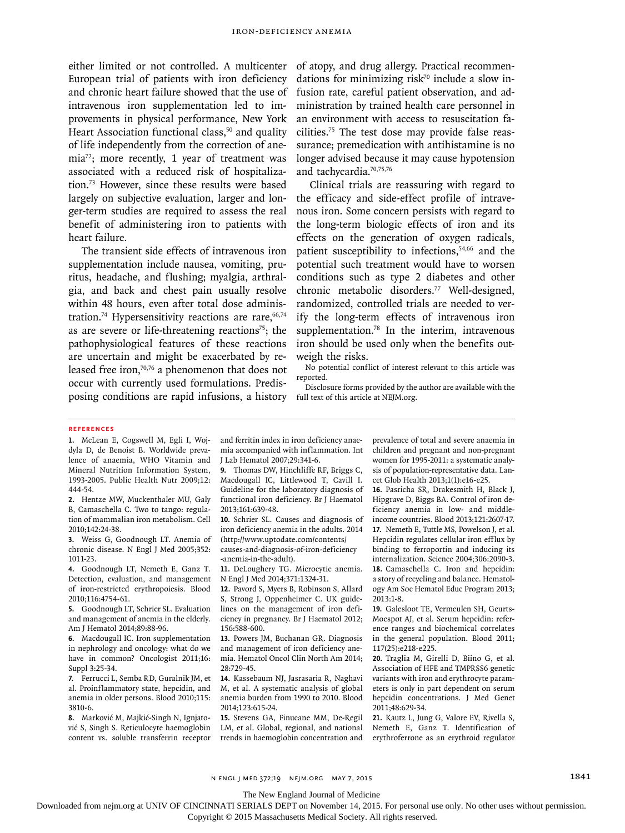either limited or not controlled. A multicenter European trial of patients with iron deficiency and chronic heart failure showed that the use of intravenous iron supplementation led to improvements in physical performance, New York Heart Association functional class,<sup>50</sup> and quality of life independently from the correction of anemia<sup>72</sup>; more recently, 1 year of treatment was associated with a reduced risk of hospitalization.73 However, since these results were based largely on subjective evaluation, larger and longer-term studies are required to assess the real benefit of administering iron to patients with heart failure.

The transient side effects of intravenous iron supplementation include nausea, vomiting, pruritus, headache, and flushing; myalgia, arthralgia, and back and chest pain usually resolve within 48 hours, even after total dose administration.<sup>74</sup> Hypersensitivity reactions are rare,  $66,74$ as are severe or life-threatening reactions<sup> $75$ </sup>; the pathophysiological features of these reactions are uncertain and might be exacerbated by released free iron,<sup>70,76</sup> a phenomenon that does not occur with currently used formulations. Predisposing conditions are rapid infusions, a history of atopy, and drug allergy. Practical recommendations for minimizing risk $70$  include a slow infusion rate, careful patient observation, and administration by trained health care personnel in an environment with access to resuscitation facilities.75 The test dose may provide false reassurance; premedication with antihistamine is no longer advised because it may cause hypotension and tachycardia.70,75,76

Clinical trials are reassuring with regard to the efficacy and side-effect profile of intravenous iron. Some concern persists with regard to the long-term biologic effects of iron and its effects on the generation of oxygen radicals, patient susceptibility to infections,<sup>54,66</sup> and the potential such treatment would have to worsen conditions such as type 2 diabetes and other chronic metabolic disorders.77 Well-designed, randomized, controlled trials are needed to verify the long-term effects of intravenous iron supplementation.<sup>78</sup> In the interim, intravenous iron should be used only when the benefits outweigh the risks.

No potential conflict of interest relevant to this article was reported.

Disclosure forms provided by the author are available with the full text of this article at NEJM.org.

#### **References**

**1.** McLean E, Cogswell M, Egli I, Wojdyla D, de Benoist B. Worldwide prevalence of anaemia, WHO Vitamin and Mineral Nutrition Information System, 1993-2005. Public Health Nutr 2009;12: 444-54.

**2.** Hentze MW, Muckenthaler MU, Galy B, Camaschella C. Two to tango: regulation of mammalian iron metabolism. Cell 2010;142:24-38.

**3.** Weiss G, Goodnough LT. Anemia of chronic disease. N Engl J Med 2005;352: 1011-23.

**4.** Goodnough LT, Nemeth E, Ganz T. Detection, evaluation, and management of iron-restricted erythropoiesis. Blood 2010;116:4754-61.

**5.** Goodnough LT, Schrier SL. Evaluation and management of anemia in the elderly. Am J Hematol 2014;89:88-96.

**6.** Macdougall IC. Iron supplementation in nephrology and oncology: what do we have in common? Oncologist 2011;16: Suppl 3:25-34.

**7.** Ferrucci L, Semba RD, Guralnik JM, et al. Proinflammatory state, hepcidin, and anemia in older persons. Blood 2010;115: 3810-6.

**8.** Marković M, Majkić-Singh N, Ignjatović S, Singh S. Reticulocyte haemoglobin content vs. soluble transferrin receptor and ferritin index in iron deficiency anaemia accompanied with inflammation. Int J Lab Hematol 2007;29:341-6.

**9.** Thomas DW, Hinchliffe RF, Briggs C, Macdougall IC, Littlewood T, Cavill I. Guideline for the laboratory diagnosis of functional iron deficiency. Br J Haematol 2013;161:639-48.

**10.** Schrier SL. Causes and diagnosis of iron deficiency anemia in the adults. 2014 (http://www.uptodate.com/contents/ causes-and-diagnosis-of-iron-deficiency -anemia-in-the-adult).

**11.** DeLoughery TG. Microcytic anemia. N Engl J Med 2014;371:1324-31.

**12.** Pavord S, Myers B, Robinson S, Allard S, Strong J, Oppenheimer C. UK guidelines on the management of iron deficiency in pregnancy. Br J Haematol 2012; 156:588-600.

**13.** Powers JM, Buchanan GR. Diagnosis and management of iron deficiency anemia. Hematol Oncol Clin North Am 2014; 28:729-45.

**14.** Kassebaum NJ, Jasrasaria R, Naghavi M, et al. A systematic analysis of global anemia burden from 1990 to 2010. Blood 2014;123:615-24.

**15.** Stevens GA, Finucane MM, De-Regil LM, et al. Global, regional, and national trends in haemoglobin concentration and prevalence of total and severe anaemia in children and pregnant and non-pregnant women for 1995-2011: a systematic analysis of population-representative data. Lancet Glob Health 2013;1(1):e16-e25.

**16.** Pasricha SR, Drakesmith H, Black J, Hipgrave D, Biggs BA. Control of iron deficiency anemia in low- and middleincome countries. Blood 2013;121:2607-17. **17.** Nemeth E, Tuttle MS, Powelson J, et al. Hepcidin regulates cellular iron efflux by binding to ferroportin and inducing its internalization. Science 2004;306:2090-3. **18.** Camaschella C. Iron and hepcidin: a story of recycling and balance. Hematology Am Soc Hematol Educ Program 2013; 2013:1-8.

**19.** Galesloot TE, Vermeulen SH, Geurts-Moespot AJ, et al. Serum hepcidin: reference ranges and biochemical correlates in the general population. Blood 2011; 117(25):e218-e225.

**20.** Traglia M, Girelli D, Biino G, et al. Association of HFE and TMPRSS6 genetic variants with iron and erythrocyte parameters is only in part dependent on serum hepcidin concentrations. J Med Genet 2011;48:629-34.

**21.** Kautz L, Jung G, Valore EV, Rivella S, Nemeth E, Ganz T. Identification of erythroferrone as an erythroid regulator

The New England Journal of Medicine

Downloaded from nejm.org at UNIV OF CINCINNATI SERIALS DEPT on November 14, 2015. For personal use only. No other uses without permission.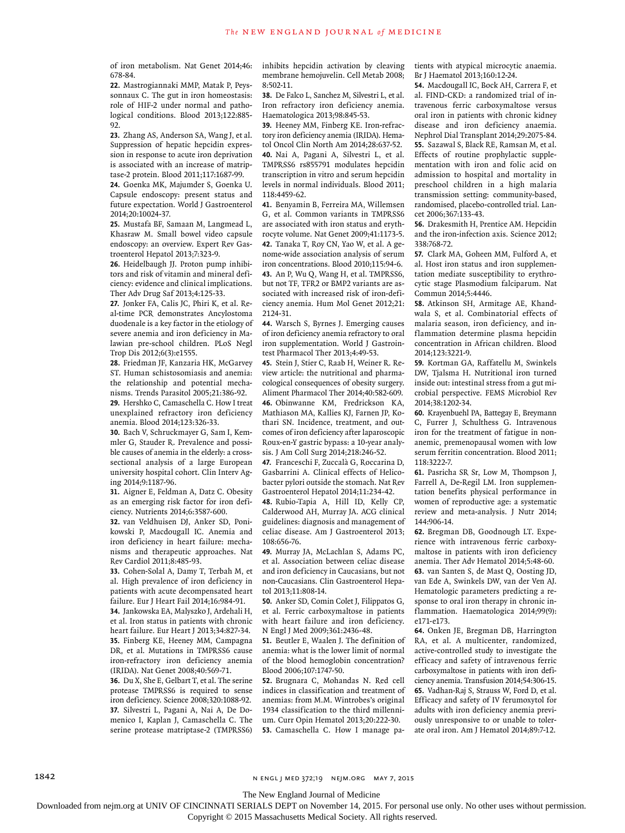of iron metabolism. Nat Genet 2014;46: 678-84.

**22.** Mastrogiannaki MMP, Matak P, Peyssonnaux C. The gut in iron homeostasis: role of HIF-2 under normal and pathological conditions. Blood 2013;122:885- 92.

**23.** Zhang AS, Anderson SA, Wang J, et al. Suppression of hepatic hepcidin expression in response to acute iron deprivation is associated with an increase of matriptase-2 protein. Blood 2011;117:1687-99.

**24.** Goenka MK, Majumder S, Goenka U. Capsule endoscopy: present status and future expectation. World J Gastroenterol 2014;20:10024-37.

**25.** Mustafa BF, Samaan M, Langmead L, Khasraw M. Small bowel video capsule endoscopy: an overview. Expert Rev Gastroenterol Hepatol 2013;7:323-9.

**26.** Heidelbaugh JJ. Proton pump inhibitors and risk of vitamin and mineral deficiency: evidence and clinical implications. Ther Adv Drug Saf 2013;4:125-33.

**27.** Jonker FA, Calis JC, Phiri K, et al. Real-time PCR demonstrates Ancylostoma duodenale is a key factor in the etiology of severe anemia and iron deficiency in Malawian pre-school children. PLoS Negl Trop Dis 2012;6(3):e1555.

**28.** Friedman JF, Kanzaria HK, McGarvey ST. Human schistosomiasis and anemia: the relationship and potential mechanisms. Trends Parasitol 2005;21:386-92.

**29.** Hershko C, Camaschella C. How I treat unexplained refractory iron deficiency anemia. Blood 2014;123:326-33.

**30.** Bach V, Schruckmayer G, Sam I, Kemmler G, Stauder R. Prevalence and possible causes of anemia in the elderly: a crosssectional analysis of a large European university hospital cohort. Clin Interv Aging 2014;9:1187-96.

**31.** Aigner E, Feldman A, Datz C. Obesity as an emerging risk factor for iron deficiency. Nutrients 2014;6:3587-600.

**32.** van Veldhuisen DJ, Anker SD, Ponikowski P, Macdougall IC. Anemia and iron deficiency in heart failure: mechanisms and therapeutic approaches. Nat Rev Cardiol 2011;8:485-93.

**33.** Cohen-Solal A, Damy T, Terbah M, et al. High prevalence of iron deficiency in patients with acute decompensated heart failure. Eur J Heart Fail 2014;16:984-91.

**34.** Jankowska EA, Malyszko J, Ardehali H, et al. Iron status in patients with chronic heart failure. Eur Heart J 2013;34:827-34. **35.** Finberg KE, Heeney MM, Campagna DR, et al. Mutations in TMPRSS6 cause iron-refractory iron deficiency anemia (IRIDA). Nat Genet 2008;40:569-71.

**36.** Du X, She E, Gelbart T, et al. The serine protease TMPRSS6 is required to sense iron deficiency. Science 2008;320:1088-92. **37.** Silvestri L, Pagani A, Nai A, De Domenico I, Kaplan J, Camaschella C. The serine protease matriptase-2 (TMPRSS6)

inhibits hepcidin activation by cleaving membrane hemojuvelin. Cell Metab 2008; 8:502-11.

**38.** De Falco L, Sanchez M, Silvestri L, et al. Iron refractory iron deficiency anemia. Haematologica 2013;98:845-53.

**39.** Heeney MM, Finberg KE. Iron-refractory iron deficiency anemia (IRIDA). Hematol Oncol Clin North Am 2014;28:637-52. **40.** Nai A, Pagani A, Silvestri L, et al. TMPRSS6 rs855791 modulates hepcidin transcription in vitro and serum hepcidin levels in normal individuals. Blood 2011; 118:4459-62.

**41.** Benyamin B, Ferreira MA, Willemsen G, et al. Common variants in TMPRSS6 are associated with iron status and erythrocyte volume. Nat Genet 2009;41:1173-5. **42.** Tanaka T, Roy CN, Yao W, et al. A genome-wide association analysis of serum iron concentrations. Blood 2010;115:94-6. **43.** An P, Wu Q, Wang H, et al. TMPRSS6, but not TF, TFR2 or BMP2 variants are associated with increased risk of iron-deficiency anemia. Hum Mol Genet 2012;21: 2124-31.

**44.** Warsch S, Byrnes J. Emerging causes of iron deficiency anemia refractory to oral iron supplementation. World J Gastrointest Pharmacol Ther 2013;4:49-53.

**45.** Stein J, Stier C, Raab H, Weiner R. Review article: the nutritional and pharmacological consequences of obesity surgery. Aliment Pharmacol Ther 2014;40:582-609. **46.** Obinwanne KM, Fredrickson KA, Mathiason MA, Kallies KJ, Farnen JP, Kothari SN. Incidence, treatment, and outcomes of iron deficiency after laparoscopic Roux-en-Y gastric bypass: a 10-year analysis. J Am Coll Surg 2014;218:246-52.

**47.** Franceschi F, Zuccalà G, Roccarina D, Gasbarrini A. Clinical effects of Helicobacter pylori outside the stomach. Nat Rev Gastroenterol Hepatol 2014;11:234-42.

**48.** Rubio-Tapia A, Hill ID, Kelly CP, Calderwood AH, Murray JA. ACG clinical guidelines: diagnosis and management of celiac disease. Am J Gastroenterol 2013; 108:656-76.

**49.** Murray JA, McLachlan S, Adams PC, et al. Association between celiac disease and iron deficiency in Caucasians, but not non-Caucasians. Clin Gastroenterol Hepatol 2013;11:808-14.

**50.** Anker SD, Comin Colet J, Filippatos G, et al. Ferric carboxymaltose in patients with heart failure and iron deficiency. N Engl J Med 2009;361:2436-48.

**51.** Beutler E, Waalen J. The definition of anemia: what is the lower limit of normal of the blood hemoglobin concentration? Blood 2006;107:1747-50.

**52.** Brugnara C, Mohandas N. Red cell indices in classification and treatment of anemias: from M.M. Wintrobes's original 1934 classification to the third millennium. Curr Opin Hematol 2013;20:222-30. **53.** Camaschella C. How I manage patients with atypical microcytic anaemia. Br J Haematol 2013;160:12-24.

**54.** Macdougall IC, Bock AH, Carrera F, et al. FIND-CKD: a randomized trial of intravenous ferric carboxymaltose versus oral iron in patients with chronic kidney disease and iron deficiency anaemia. Nephrol Dial Transplant 2014;29:2075-84. **55.** Sazawal S, Black RE, Ramsan M, et al. Effects of routine prophylactic supplementation with iron and folic acid on admission to hospital and mortality in preschool children in a high malaria transmission setting: community-based, randomised, placebo-controlled trial. Lancet 2006;367:133-43.

**56.** Drakesmith H, Prentice AM. Hepcidin and the iron-infection axis. Science 2012; 338:768-72.

**57.** Clark MA, Goheen MM, Fulford A, et al. Host iron status and iron supplementation mediate susceptibility to erythrocytic stage Plasmodium falciparum. Nat Commun 2014;5:4446.

**58.** Atkinson SH, Armitage AE, Khandwala S, et al. Combinatorial effects of malaria season, iron deficiency, and inflammation determine plasma hepcidin concentration in African children. Blood 2014;123:3221-9.

**59.** Kortman GA, Raffatellu M, Swinkels DW, Tjalsma H. Nutritional iron turned inside out: intestinal stress from a gut microbial perspective. FEMS Microbiol Rev 2014;38:1202-34.

**60.** Krayenbuehl PA, Battegay E, Breymann C, Furrer J, Schulthess G. Intravenous iron for the treatment of fatigue in nonanemic, premenopausal women with low serum ferritin concentration. Blood 2011; 118:3222-7.

**61.** Pasricha SR Sr, Low M, Thompson J, Farrell A, De-Regil LM. Iron supplementation benefits physical performance in women of reproductive age: a systematic review and meta-analysis. J Nutr 2014; 144:906-14.

**62.** Bregman DB, Goodnough LT. Experience with intravenous ferric carboxymaltose in patients with iron deficiency anemia. Ther Adv Hematol 2014;5:48-60. **63.** van Santen S, de Mast Q, Oosting JD, van Ede A, Swinkels DW, van der Ven AJ. Hematologic parameters predicting a response to oral iron therapy in chronic inflammation. Haematologica 2014;99(9): e171-e173.

**64.** Onken JE, Bregman DB, Harrington RA, et al. A multicenter, randomized, active-controlled study to investigate the efficacy and safety of intravenous ferric carboxymaltose in patients with iron deficiency anemia. Transfusion 2014;54:306-15. **65.** Vadhan-Raj S, Strauss W, Ford D, et al. Efficacy and safety of IV ferumoxytol for adults with iron deficiency anemia previously unresponsive to or unable to tolerate oral iron. Am J Hematol 2014;89:7-12.

1842 **n engl j med 372;19 nejm.org May 7, 2015** 

The New England Journal of Medicine

Downloaded from nejm.org at UNIV OF CINCINNATI SERIALS DEPT on November 14, 2015. For personal use only. No other uses without permission.